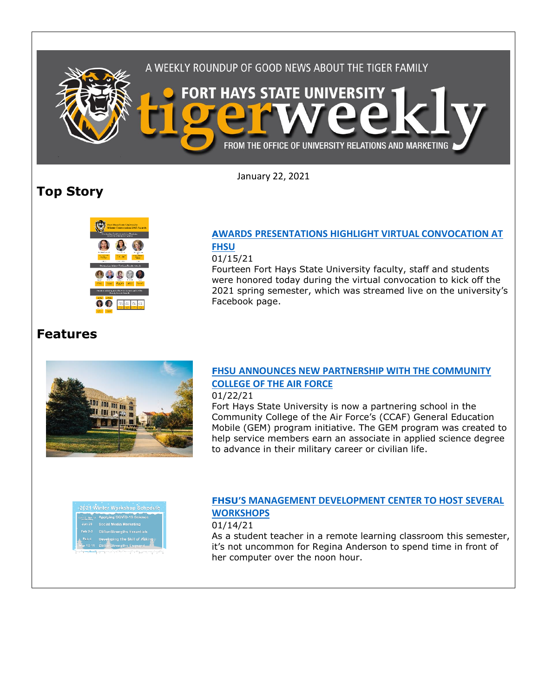

January 22, 2021

# **Top Story**



### **AWARDS [PRESENTATIONS HIGHLIGHT VIRTUAL CONVOCATION AT](https://fhsu.edu/news/2021/01/awards-presentations-highlight-virtual-convocation-at-fhsu)  [FHSU](https://fhsu.edu/news/2021/01/awards-presentations-highlight-virtual-convocation-at-fhsu)**

#### 01/15/21

Fourteen Fort Hays State University faculty, staff and students were honored today during the virtual convocation to kick off the 2021 spring semester, which was streamed live on the university's Facebook page.

## **Features**



## **FHSU [ANNOUNCES NEW PARTNERSHIP WITH THE COMMUNITY](https://fhsu.edu/news/2021/01/fhsu-announces-new-partnership-with-the-community-college-of-the-air-force)  [COLLEGE OF THE AIR](https://fhsu.edu/news/2021/01/fhsu-announces-new-partnership-with-the-community-college-of-the-air-force) FORCE**

#### 01/22/21

Fort Hays State University is now a partnering school in the Community College of the Air Force's (CCAF) General Education Mobile (GEM) program initiative. The GEM program was created to help service members earn an associate in applied science degree to advance in their military career or civilian life.



### **FHSU'S MANAGEMENT [DEVELOPMENT CENTER TO HOST SEVERAL](https://fhsu.edu/news/2021/01/fhsus-management-development-center-to-host-several-workshops)  [WORKSHOPS](https://fhsu.edu/news/2021/01/fhsus-management-development-center-to-host-several-workshops)**

01/14/21

As a student teacher in a remote learning classroom this semester, it's not uncommon for Regina Anderson to spend time in front of her computer over the noon hour.